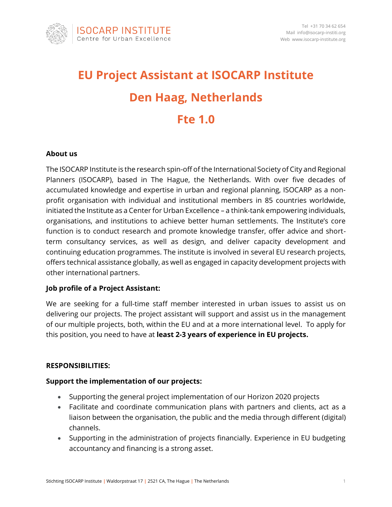

# **EU Project Assistant at ISOCARP Institute Den Haag, Netherlands Fte 1.0**

## **About us**

The ISOCARP Institute is the research spin-off of the International Society of City and Regional Planners (ISOCARP), based in The Hague, the Netherlands. With over five decades of accumulated knowledge and expertise in urban and regional planning, ISOCARP as a nonprofit organisation with individual and institutional members in 85 countries worldwide, initiated the Institute as a Center for Urban Excellence – a think-tank empowering individuals, organisations, and institutions to achieve better human settlements. The Institute's core function is to conduct research and promote knowledge transfer, offer advice and shortterm consultancy services, as well as design, and deliver capacity development and continuing education programmes. The institute is involved in several EU research projects, offers technical assistance globally, as well as engaged in capacity development projects with other international partners.

## **Job profile of a Project Assistant:**

We are seeking for a full-time staff member interested in urban issues to assist us on delivering our projects. The project assistant will support and assist us in the management of our multiple projects, both, within the EU and at a more international level. To apply for this position, you need to have at **least 2-3 years of experience in EU projects.** 

## **RESPONSIBILITIES:**

## **Support the implementation of our projects:**

- Supporting the general project implementation of our Horizon 2020 projects
- Facilitate and coordinate communication plans with partners and clients, act as a liaison between the organisation, the public and the media through different (digital) channels.
- Supporting in the administration of projects financially. Experience in EU budgeting accountancy and financing is a strong asset.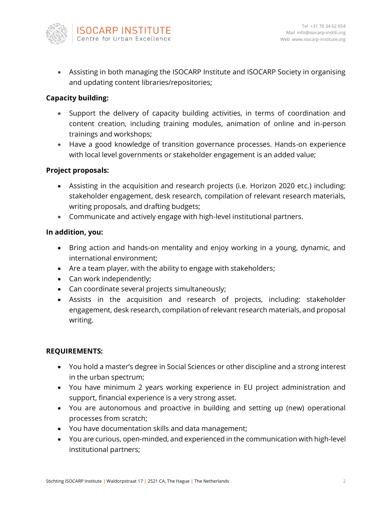

• Assisting in both managing the ISOCARP Institute and ISOCARP Society in organising and updating content libraries/repositories;

## **Capacity building:**

- Support the delivery of capacity building activities, in terms of coordination and content creation, including training modules, animation of online and in-person trainings and workshops;
- Have a good knowledge of transition governance processes. Hands-on experience with local level governments or stakeholder engagement is an added value;

## **Project proposals:**

- Assisting in the acquisition and research projects (i.e. Horizon 2020 etc.) including: stakeholder engagement, desk research, compilation of relevant research materials, writing proposals, and drafting budgets;
- Communicate and actively engage with high-level institutional partners.

#### **In addition, you:**

- Bring action and hands-on mentality and enjoy working in a young, dynamic, and international environment;
- Are a team player, with the ability to engage with stakeholders;
- Can work independently;
- Can coordinate several projects simultaneously;
- Assists in the acquisition and research of projects, including: stakeholder engagement, desk research, compilation of relevant research materials, and proposal writing.

## **REQUIREMENTS:**

- You hold a master's degree in Social Sciences or other discipline and a strong interest in the urban spectrum;
- You have minimum 2 years working experience in EU project administration and support, financial experience is a very strong asset.
- You are autonomous and proactive in building and setting up (new) operational processes from scratch;
- You have documentation skills and data management;
- You are curious, open-minded, and experienced in the communication with high-level institutional partners;